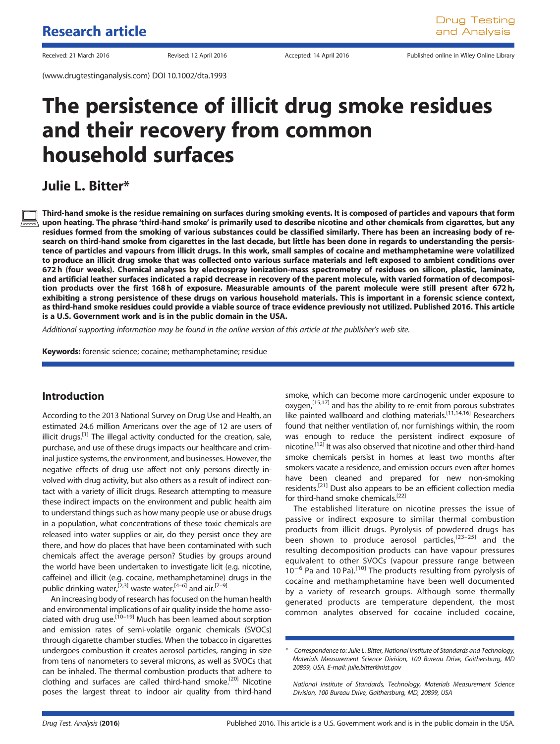(www.drugtestinganalysis.com) DOI 10.1002/dta.1993

Received: 21 March 2016 **Revised: 12 April 2016** Accepted: 14 April 2016 Published online in Wiley Online Library

# The persistence of illicit drug smoke residues and their recovery from common household surfaces

## Julie L. Bitter\*

Third-hand smoke is the residue remaining on surfaces during smoking events. It is composed of particles and vapours that form upon heating. The phrase 'third-hand smoke' is primarily used to describe nicotine and other chemicals from cigarettes, but any residues formed from the smoking of various substances could be classified similarly. There has been an increasing body of research on third-hand smoke from cigarettes in the last decade, but little has been done in regards to understanding the persistence of particles and vapours from illicit drugs. In this work, small samples of cocaine and methamphetamine were volatilized to produce an illicit drug smoke that was collected onto various surface materials and left exposed to ambient conditions over 672 h (four weeks). Chemical analyses by electrospray ionization-mass spectrometry of residues on silicon, plastic, laminate, and artificial leather surfaces indicated a rapid decrease in recovery of the parent molecule, with varied formation of decomposition products over the first 168 h of exposure. Measurable amounts of the parent molecule were still present after 672 h, exhibiting a strong persistence of these drugs on various household materials. This is important in a forensic science context, as third-hand smoke residues could provide a viable source of trace evidence previously not utilized. Published 2016. This article is a U.S. Government work and is in the public domain in the USA.

Additional supporting information may be found in the online version of this article at the publisher's web site.

Keywords: forensic science; cocaine; methamphetamine; residue

## Introduction

According to the 2013 National Survey on Drug Use and Health, an estimated 24.6 million Americans over the age of 12 are users of illicit drugs.<sup>[1]</sup> The illegal activity conducted for the creation, sale, purchase, and use of these drugs impacts our healthcare and criminal justice systems, the environment, and businesses. However, the negative effects of drug use affect not only persons directly involved with drug activity, but also others as a result of indirect contact with a variety of illicit drugs. Research attempting to measure these indirect impacts on the environment and public health aim to understand things such as how many people use or abuse drugs in a population, what concentrations of these toxic chemicals are released into water supplies or air, do they persist once they are there, and how do places that have been contaminated with such chemicals affect the average person? Studies by groups around the world have been undertaken to investigate licit (e.g. nicotine, caffeine) and illicit (e.g. cocaine, methamphetamine) drugs in the public drinking water,<sup>[2,3]</sup> waste water,<sup>[4-6]</sup> and air.<sup>[7-9]</sup>

An increasing body of research has focused on the human health and environmental implications of air quality inside the home associated with drug use.<sup>[10–19]</sup> Much has been learned about sorption and emission rates of semi-volatile organic chemicals (SVOCs) through cigarette chamber studies. When the tobacco in cigarettes undergoes combustion it creates aerosol particles, ranging in size from tens of nanometers to several microns, as well as SVOCs that can be inhaled. The thermal combustion products that adhere to clothing and surfaces are called third-hand smoke.<sup>[20]</sup> Nicotine poses the largest threat to indoor air quality from third-hand

smoke, which can become more carcinogenic under exposure to oxygen,<sup>[15,17]</sup> and has the ability to re-emit from porous substrates like painted wallboard and clothing materials.<sup>[11,14,16]</sup> Researchers found that neither ventilation of, nor furnishings within, the room was enough to reduce the persistent indirect exposure of nicotine.<sup>[12]</sup> It was also observed that nicotine and other third-hand smoke chemicals persist in homes at least two months after smokers vacate a residence, and emission occurs even after homes have been cleaned and prepared for new non-smoking residents.<sup>[21]</sup> Dust also appears to be an efficient collection media for third-hand smoke chemicals.[22]

The established literature on nicotine presses the issue of passive or indirect exposure to similar thermal combustion products from illicit drugs. Pyrolysis of powdered drugs has been shown to produce aerosol particles,  $[23-25]$  and the resulting decomposition products can have vapour pressures equivalent to other SVOCs (vapour pressure range between  $10^{-6}$  Pa and 10 Pa).<sup>[10]</sup> The products resulting from pyrolysis of cocaine and methamphetamine have been well documented by a variety of research groups. Although some thermally generated products are temperature dependent, the most common analytes observed for cocaine included cocaine,

National Institute of Standards, Technology, Materials Measurement Science Division, 100 Bureau Drive, Gaithersburg, MD, 20899, USA

Correspondence to: Julie L. Bitter, National Institute of Standards and Technology, Materials Measurement Science Division, 100 Bureau Drive, Gaithersburg, MD 20899, USA. E-mail: julie.bitter@nist.gov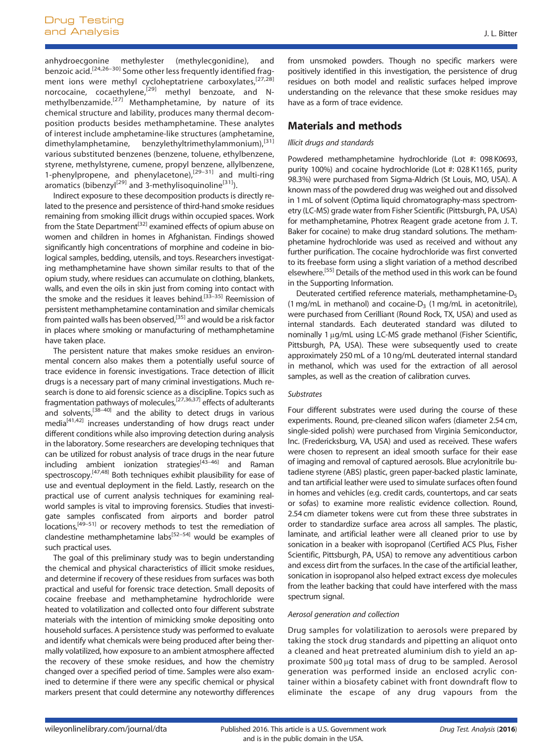anhydroecgonine methylester (methylecgonidine), and benzoic acid.<sup>[24,26-30]</sup> Some other less frequently identified fragment ions were methyl cycloheptatriene carboxylates,<sup>[27,28]</sup> norcocaine, cocaethylene,<sup>[29]</sup> methyl benzoate, and Nmethylbenzamide.<sup>[27]</sup> Methamphetamine, by nature of its chemical structure and lability, produces many thermal decomposition products besides methamphetamine. These analytes of interest include amphetamine-like structures (amphetamine, dimethylamphetamine, benzylethyltrimethylammonium),[31] various substituted benzenes (benzene, toluene, ethylbenzene, styrene, methylstyrene, cumene, propyl benzene, allylbenzene, 1-phenylpropene, and phenylacetone),[29–31] and multi-ring aromatics (bibenzyl<sup>[29]</sup> and 3-methylisoquinoline<sup>[31]</sup>).

Indirect exposure to these decomposition products is directly related to the presence and persistence of third-hand smoke residues remaining from smoking illicit drugs within occupied spaces. Work from the State Department<sup>[32]</sup> examined effects of opium abuse on women and children in homes in Afghanistan. Findings showed significantly high concentrations of morphine and codeine in biological samples, bedding, utensils, and toys. Researchers investigating methamphetamine have shown similar results to that of the opium study, where residues can accumulate on clothing, blankets, walls, and even the oils in skin just from coming into contact with the smoke and the residues it leaves behind.<sup>[33–35]</sup> Reemission of persistent methamphetamine contamination and similar chemicals from painted walls has been observed.<sup>[35]</sup> and would be a risk factor in places where smoking or manufacturing of methamphetamine have taken place.

The persistent nature that makes smoke residues an environmental concern also makes them a potentially useful source of trace evidence in forensic investigations. Trace detection of illicit drugs is a necessary part of many criminal investigations. Much research is done to aid forensic science as a discipline. Topics such as fragmentation pathways of molecules,<sup>[27,36,37]</sup> effects of adulterants and solvents, $^{[38-40]}$  and the ability to detect drugs in various  $media<sup>[41,42]</sup>$  increases understanding of how drugs react under different conditions while also improving detection during analysis in the laboratory. Some researchers are developing techniques that can be utilized for robust analysis of trace drugs in the near future  $including$  ambient ionization strategies<sup>[43–46]</sup> and Raman spectroscopy.[47,48] Both techniques exhibit plausibility for ease of use and eventual deployment in the field. Lastly, research on the practical use of current analysis techniques for examining realworld samples is vital to improving forensics. Studies that investigate samples confiscated from airports and border patrol locations,<sup>[49–51]</sup> or recovery methods to test the remediation of clandestine methamphetamine labs<sup>[52-54]</sup> would be examples of such practical uses.

The goal of this preliminary study was to begin understanding the chemical and physical characteristics of illicit smoke residues, and determine if recovery of these residues from surfaces was both practical and useful for forensic trace detection. Small deposits of cocaine freebase and methamphetamine hydrochloride were heated to volatilization and collected onto four different substrate materials with the intention of mimicking smoke depositing onto household surfaces. A persistence study was performed to evaluate and identify what chemicals were being produced after being thermally volatilized, how exposure to an ambient atmosphere affected the recovery of these smoke residues, and how the chemistry changed over a specified period of time. Samples were also examined to determine if there were any specific chemical or physical markers present that could determine any noteworthy differences

from unsmoked powders. Though no specific markers were positively identified in this investigation, the persistence of drug residues on both model and realistic surfaces helped improve understanding on the relevance that these smoke residues may have as a form of trace evidence.

## Materials and methods

## Illicit drugs and standards

Powdered methamphetamine hydrochloride (Lot #: 098 K0693, purity 100%) and cocaine hydrochloride (Lot #: 028 K1165, purity 98.3%) were purchased from Sigma-Aldrich (St Louis, MO, USA). A known mass of the powdered drug was weighed out and dissolved in 1 mL of solvent (Optima liquid chromatography-mass spectrometry (LC-MS) grade water from Fisher Scientific (Pittsburgh, PA, USA) for methamphetamine, Photrex Reagent grade acetone from J. T. Baker for cocaine) to make drug standard solutions. The methamphetamine hydrochloride was used as received and without any further purification. The cocaine hydrochloride was first converted to its freebase form using a slight variation of a method described elsewhere.[55] Details of the method used in this work can be found in the Supporting Information.

Deuterated certified reference materials, methamphetamine-D5 (1 mg/mL in methanol) and cocaine- $D_3$  (1 mg/mL in acetonitrile), were purchased from Cerilliant (Round Rock, TX, USA) and used as internal standards. Each deuterated standard was diluted to nominally 1 μg/mL using LC-MS grade methanol (Fisher Scientific, Pittsburgh, PA, USA). These were subsequently used to create approximately 250 mL of a 10 ng/mL deuterated internal standard in methanol, which was used for the extraction of all aerosol samples, as well as the creation of calibration curves.

## Substrates

Four different substrates were used during the course of these experiments. Round, pre-cleaned silicon wafers (diameter 2.54 cm, single-sided polish) were purchased from Virginia Semiconductor, Inc. (Fredericksburg, VA, USA) and used as received. These wafers were chosen to represent an ideal smooth surface for their ease of imaging and removal of captured aerosols. Blue acrylonitrile butadiene styrene (ABS) plastic, green paper-backed plastic laminate, and tan artificial leather were used to simulate surfaces often found in homes and vehicles (e.g. credit cards, countertops, and car seats or sofas) to examine more realistic evidence collection. Round, 2.54 cm diameter tokens were cut from these three substrates in order to standardize surface area across all samples. The plastic, laminate, and artificial leather were all cleaned prior to use by sonication in a beaker with isopropanol (Certified ACS Plus, Fisher Scientific, Pittsburgh, PA, USA) to remove any adventitious carbon and excess dirt from the surfaces. In the case of the artificial leather, sonication in isopropanol also helped extract excess dye molecules from the leather backing that could have interfered with the mass spectrum signal.

#### Aerosol generation and collection

Drug samples for volatilization to aerosols were prepared by taking the stock drug standards and pipetting an aliquot onto a cleaned and heat pretreated aluminium dish to yield an approximate 500 μg total mass of drug to be sampled. Aerosol generation was performed inside an enclosed acrylic container within a biosafety cabinet with front downdraft flow to eliminate the escape of any drug vapours from the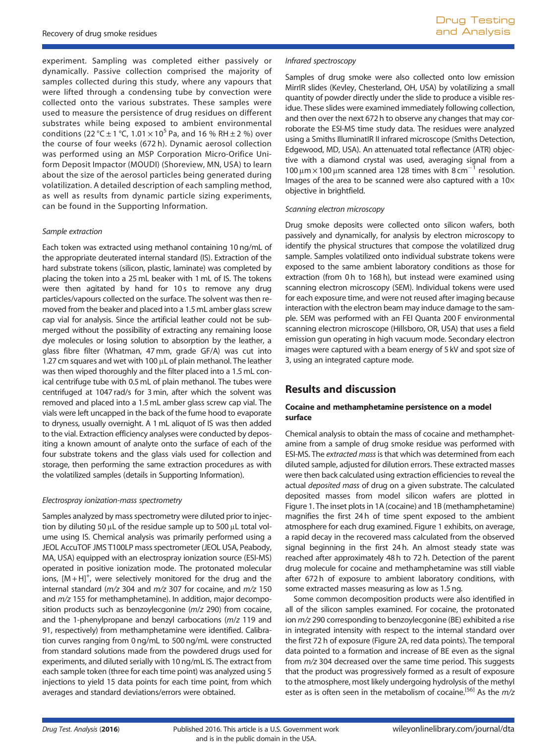experiment. Sampling was completed either passively or dynamically. Passive collection comprised the majority of samples collected during this study, where any vapours that were lifted through a condensing tube by convection were collected onto the various substrates. These samples were used to measure the persistence of drug residues on different substrates while being exposed to ambient environmental conditions (22 °C  $\pm$  1 °C, 1.01  $\times$  10<sup>5</sup> Pa, and 16 % RH  $\pm$  2 %) over the course of four weeks (672 h). Dynamic aerosol collection was performed using an MSP Corporation Micro-Orifice Uniform Deposit Impactor (MOUDI) (Shoreview, MN, USA) to learn about the size of the aerosol particles being generated during volatilization. A detailed description of each sampling method, as well as results from dynamic particle sizing experiments, can be found in the Supporting Information.

## Sample extraction

Each token was extracted using methanol containing 10 ng/mL of the appropriate deuterated internal standard (IS). Extraction of the hard substrate tokens (silicon, plastic, laminate) was completed by placing the token into a 25 mL beaker with 1 mL of IS. The tokens were then agitated by hand for 10s to remove any drug particles/vapours collected on the surface. The solvent was then removed from the beaker and placed into a 1.5 mL amber glass screw cap vial for analysis. Since the artificial leather could not be submerged without the possibility of extracting any remaining loose dye molecules or losing solution to absorption by the leather, a glass fibre filter (Whatman, 47 mm, grade GF/A) was cut into 1.27 cm squares and wet with 100 μL of plain methanol. The leather was then wiped thoroughly and the filter placed into a 1.5 mL conical centrifuge tube with 0.5 mL of plain methanol. The tubes were centrifuged at 1047 rad/s for 3 min, after which the solvent was removed and placed into a 1.5 mL amber glass screw cap vial. The vials were left uncapped in the back of the fume hood to evaporate to dryness, usually overnight. A 1 mL aliquot of IS was then added to the vial. Extraction efficiency analyses were conducted by depositing a known amount of analyte onto the surface of each of the four substrate tokens and the glass vials used for collection and storage, then performing the same extraction procedures as with the volatilized samples (details in Supporting Information).

## Electrospray ionization-mass spectrometry

Samples analyzed by mass spectrometry were diluted prior to injection by diluting 50 μL of the residue sample up to 500 μL total volume using IS. Chemical analysis was primarily performed using a JEOL AccuTOF JMS T100LP mass spectrometer (JEOL USA, Peabody, MA, USA) equipped with an electrospray ionization source (ESI-MS) operated in positive ionization mode. The protonated molecular ions,  $[M + H]^{+}$ , were selectively monitored for the drug and the internal standard ( $m/z$  304 and  $m/z$  307 for cocaine, and  $m/z$  150 and  $m/z$  155 for methamphetamine). In addition, major decomposition products such as benzoylecgonine (m/z 290) from cocaine, and the 1-phenylpropane and benzyl carbocations (m/z 119 and 91, respectively) from methamphetamine were identified. Calibration curves ranging from 0 ng/mL to 500 ng/mL were constructed from standard solutions made from the powdered drugs used for experiments, and diluted serially with 10 ng/mL IS. The extract from each sample token (three for each time point) was analyzed using 5 injections to yield 15 data points for each time point, from which averages and standard deviations/errors were obtained.

#### Infrared spectroscopy

Samples of drug smoke were also collected onto low emission MirrIR slides (Kevley, Chesterland, OH, USA) by volatilizing a small quantity of powder directly under the slide to produce a visible residue. These slides were examined immediately following collection, and then over the next 672 h to observe any changes that may corroborate the ESI-MS time study data. The residues were analyzed using a Smiths IlluminatIR II infrared microscope (Smiths Detection, Edgewood, MD, USA). An attenuated total reflectance (ATR) objective with a diamond crystal was used, averaging signal from a 100 μm  $\times$  100 μm scanned area 128 times with 8 cm<sup>-1</sup> resolution. Images of the area to be scanned were also captured with a 10× objective in brightfield.

#### Scanning electron microscopy

Drug smoke deposits were collected onto silicon wafers, both passively and dynamically, for analysis by electron microscopy to identify the physical structures that compose the volatilized drug sample. Samples volatilized onto individual substrate tokens were exposed to the same ambient laboratory conditions as those for extraction (from 0h to 168 h), but instead were examined using scanning electron microscopy (SEM). Individual tokens were used for each exposure time, and were not reused after imaging because interaction with the electron beam may induce damage to the sample. SEM was performed with an FEI Quanta 200 F environmental scanning electron microscope (Hillsboro, OR, USA) that uses a field emission gun operating in high vacuum mode. Secondary electron images were captured with a beam energy of 5 kV and spot size of 3, using an integrated capture mode.

## Results and discussion

## Cocaine and methamphetamine persistence on a model surface

Chemical analysis to obtain the mass of cocaine and methamphetamine from a sample of drug smoke residue was performed with ESI-MS. The extracted mass is that which was determined from each diluted sample, adjusted for dilution errors. These extracted masses were then back calculated using extraction efficiencies to reveal the actual *deposited mass* of drug on a given substrate. The calculated deposited masses from model silicon wafers are plotted in Figure 1. The inset plots in 1A (cocaine) and 1B (methamphetamine) magnifies the first 24 h of time spent exposed to the ambient atmosphere for each drug examined. Figure 1 exhibits, on average, a rapid decay in the recovered mass calculated from the observed signal beginning in the first 24 h. An almost steady state was reached after approximately 48 h to 72 h. Detection of the parent drug molecule for cocaine and methamphetamine was still viable after 672h of exposure to ambient laboratory conditions, with some extracted masses measuring as low as 1.5 ng.

Some common decomposition products were also identified in all of the silicon samples examined. For cocaine, the protonated ion m/z 290 corresponding to benzoylecgonine (BE) exhibited a rise in integrated intensity with respect to the internal standard over the first 72 h of exposure (Figure 2A, red data points). The temporal data pointed to a formation and increase of BE even as the signal from  $m/z$  304 decreased over the same time period. This suggests that the product was progressively formed as a result of exposure to the atmosphere, most likely undergoing hydrolysis of the methyl ester as is often seen in the metabolism of cocaine.<sup>[56]</sup> As the  $m/z$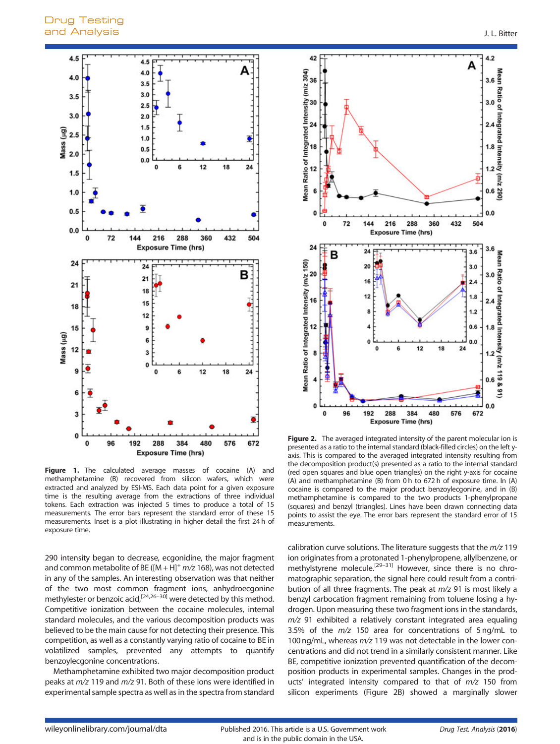

Figure 1. The calculated average masses of cocaine (A) and methamphetamine (B) recovered from silicon wafers, which were extracted and analyzed by ESI-MS. Each data point for a given exposure time is the resulting average from the extractions of three individual tokens. Each extraction was injected 5 times to produce a total of 15 measurements. The error bars represent the standard error of these 15 measurements. Inset is a plot illustrating in higher detail the first 24 h of exposure time.

290 intensity began to decrease, ecgonidine, the major fragment and common metabolite of BE ( $[M + H]^{+}$  m/z 168), was not detected in any of the samples. An interesting observation was that neither of the two most common fragment ions, anhydroecgonine methylester or benzoic acid,<sup>[24,26–30]</sup> were detected by this method. Competitive ionization between the cocaine molecules, internal standard molecules, and the various decomposition products was believed to be the main cause for not detecting their presence. This competition, as well as a constantly varying ratio of cocaine to BE in volatilized samples, prevented any attempts to quantify benzoylecgonine concentrations.

Methamphetamine exhibited two major decomposition product peaks at m/z 119 and m/z 91. Both of these ions were identified in experimental sample spectra as well as in the spectra from standard



Figure 2. The averaged integrated intensity of the parent molecular ion is presented as a ratio to the internal standard (black-filled circles) on the left yaxis. This is compared to the averaged integrated intensity resulting from the decomposition product(s) presented as a ratio to the internal standard (red open squares and blue open triangles) on the right y-axis for cocaine (A) and methamphetamine (B) from 0 h to 672 h of exposure time. In (A) cocaine is compared to the major product benzoylecgonine, and in (B) methamphetamine is compared to the two products 1-phenylpropane (squares) and benzyl (triangles). Lines have been drawn connecting data points to assist the eye. The error bars represent the standard error of 15 measurements.

calibration curve solutions. The literature suggests that the  $m/z$  119 ion originates from a protonated 1-phenylpropene, allylbenzene, or methylstyrene molecule.<sup>[29–31]</sup> However, since there is no chromatographic separation, the signal here could result from a contribution of all three fragments. The peak at  $m/z$  91 is most likely a benzyl carbocation fragment remaining from toluene losing a hydrogen. Upon measuring these two fragment ions in the standards, m/z 91 exhibited a relatively constant integrated area equaling 3.5% of the m/z 150 area for concentrations of 5 ng/mL to 100 ng/mL, whereas  $m/z$  119 was not detectable in the lower concentrations and did not trend in a similarly consistent manner. Like BE, competitive ionization prevented quantification of the decomposition products in experimental samples. Changes in the products' integrated intensity compared to that of  $m/z$  150 from silicon experiments (Figure 2B) showed a marginally slower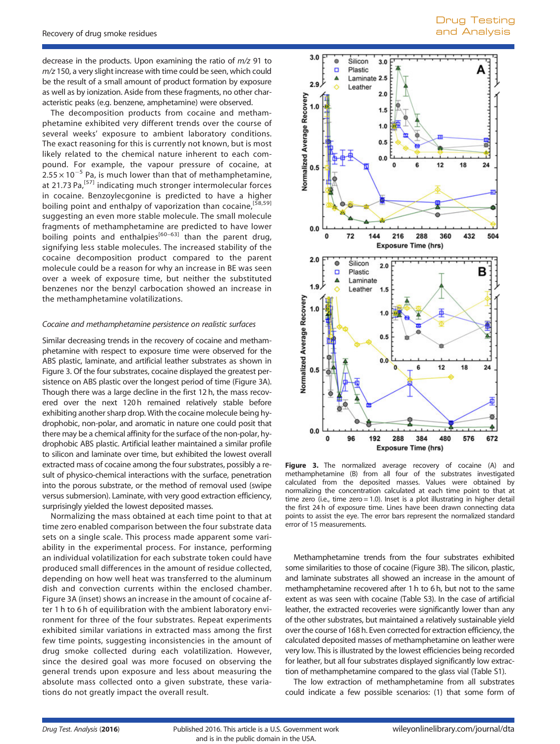decrease in the products. Upon examining the ratio of  $m/z$  91 to  $m/z$  150, a very slight increase with time could be seen, which could be the result of a small amount of product formation by exposure as well as by ionization. Aside from these fragments, no other characteristic peaks (e.g. benzene, amphetamine) were observed.

The decomposition products from cocaine and methamphetamine exhibited very different trends over the course of several weeks' exposure to ambient laboratory conditions. The exact reasoning for this is currently not known, but is most likely related to the chemical nature inherent to each compound. For example, the vapour pressure of cocaine, at  $2.55 \times 10^{-5}$  Pa, is much lower than that of methamphetamine, at 21.73 Pa,<sup>[57]</sup> indicating much stronger intermolecular forces in cocaine. Benzoylecgonine is predicted to have a higher boiling point and enthalpy of vaporization than cocaine,  $[58,59]$ suggesting an even more stable molecule. The small molecule fragments of methamphetamine are predicted to have lower boiling points and enthalpies $[60-63]$  than the parent drug, signifying less stable molecules. The increased stability of the cocaine decomposition product compared to the parent molecule could be a reason for why an increase in BE was seen over a week of exposure time, but neither the substituted benzenes nor the benzyl carbocation showed an increase in the methamphetamine volatilizations.

#### Cocaine and methamphetamine persistence on realistic surfaces

Similar decreasing trends in the recovery of cocaine and methamphetamine with respect to exposure time were observed for the ABS plastic, laminate, and artificial leather substrates as shown in Figure 3. Of the four substrates, cocaine displayed the greatest persistence on ABS plastic over the longest period of time (Figure 3A). Though there was a large decline in the first 12 h, the mass recovered over the next 120 h remained relatively stable before exhibiting another sharp drop. With the cocaine molecule being hydrophobic, non-polar, and aromatic in nature one could posit that there may be a chemical affinity for the surface of the non-polar, hydrophobic ABS plastic. Artificial leather maintained a similar profile to silicon and laminate over time, but exhibited the lowest overall extracted mass of cocaine among the four substrates, possibly a result of physico-chemical interactions with the surface, penetration into the porous substrate, or the method of removal used (swipe versus submersion). Laminate, with very good extraction efficiency, surprisingly yielded the lowest deposited masses.

Normalizing the mass obtained at each time point to that at time zero enabled comparison between the four substrate data sets on a single scale. This process made apparent some variability in the experimental process. For instance, performing an individual volatilization for each substrate token could have produced small differences in the amount of residue collected, depending on how well heat was transferred to the aluminum dish and convection currents within the enclosed chamber. Figure 3A (inset) shows an increase in the amount of cocaine after 1 h to 6 h of equilibration with the ambient laboratory environment for three of the four substrates. Repeat experiments exhibited similar variations in extracted mass among the first few time points, suggesting inconsistencies in the amount of drug smoke collected during each volatilization. However, since the desired goal was more focused on observing the general trends upon exposure and less about measuring the absolute mass collected onto a given substrate, these variations do not greatly impact the overall result.



Figure 3. The normalized average recovery of cocaine (A) and methamphetamine (B) from all four of the substrates investigated calculated from the deposited masses. Values were obtained by normalizing the concentration calculated at each time point to that at time zero (i.e., time zero = 1.0). Inset is a plot illustrating in higher detail the first 24 h of exposure time. Lines have been drawn connecting data points to assist the eye. The error bars represent the normalized standard error of 15 measurements.

Methamphetamine trends from the four substrates exhibited some similarities to those of cocaine (Figure 3B). The silicon, plastic, and laminate substrates all showed an increase in the amount of methamphetamine recovered after 1 h to 6 h, but not to the same extent as was seen with cocaine (Table S3). In the case of artificial leather, the extracted recoveries were significantly lower than any of the other substrates, but maintained a relatively sustainable yield over the course of 168 h. Even corrected for extraction efficiency, the calculated deposited masses of methamphetamine on leather were very low. This is illustrated by the lowest efficiencies being recorded for leather, but all four substrates displayed significantly low extraction of methamphetamine compared to the glass vial (Table S1).

The low extraction of methamphetamine from all substrates could indicate a few possible scenarios: (1) that some form of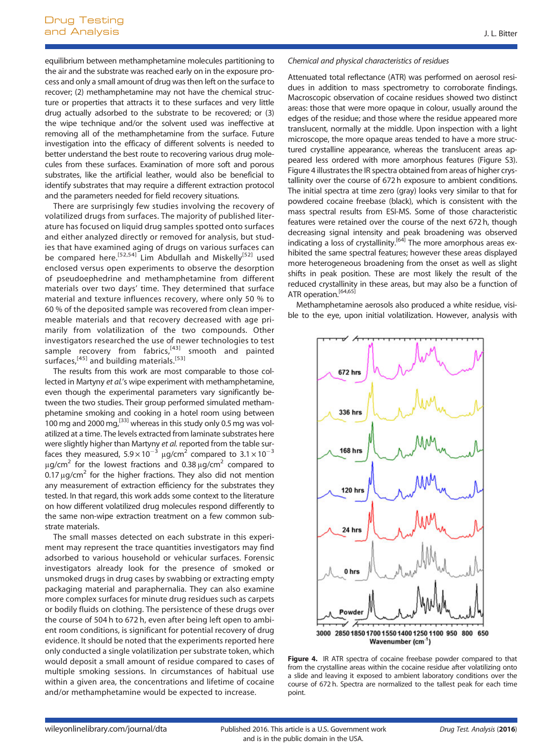equilibrium between methamphetamine molecules partitioning to the air and the substrate was reached early on in the exposure process and only a small amount of drug was then left on the surface to recover; (2) methamphetamine may not have the chemical structure or properties that attracts it to these surfaces and very little drug actually adsorbed to the substrate to be recovered; or (3) the wipe technique and/or the solvent used was ineffective at removing all of the methamphetamine from the surface. Future investigation into the efficacy of different solvents is needed to better understand the best route to recovering various drug molecules from these surfaces. Examination of more soft and porous substrates, like the artificial leather, would also be beneficial to identify substrates that may require a different extraction protocol and the parameters needed for field recovery situations.

There are surprisingly few studies involving the recovery of volatilized drugs from surfaces. The majority of published literature has focused on liquid drug samples spotted onto surfaces and either analyzed directly or removed for analysis, but studies that have examined aging of drugs on various surfaces can be compared here.<sup>[52,54]</sup> Lim Abdullah and Miskelly<sup>[52]</sup> used enclosed versus open experiments to observe the desorption of pseudoephedrine and methamphetamine from different materials over two days' time. They determined that surface material and texture influences recovery, where only 50 % to 60 % of the deposited sample was recovered from clean impermeable materials and that recovery decreased with age primarily from volatilization of the two compounds. Other investigators researched the use of newer technologies to test sample recovery from fabrics,<sup>[43]</sup> smooth and painted surfaces,<sup>[45]</sup> and building materials.<sup>[53]</sup>

The results from this work are most comparable to those collected in Martyny et al.'s wipe experiment with methamphetamine, even though the experimental parameters vary significantly between the two studies. Their group performed simulated methamphetamine smoking and cooking in a hotel room using between 100 mg and 2000 mg,  $[33]$  whereas in this study only 0.5 mg was volatilized at a time. The levels extracted from laminate substrates here were slightly higher than Martyny et al. reported from the table surfaces they measured,  $5.9 \times 10^{-3}$  µg/cm<sup>2</sup> compared to  $3.1 \times 10^{-3}$ μg/cm<sup>2</sup> for the lowest fractions and 0.38 μg/cm<sup>2</sup> compared to 0.17  $\mu$ g/cm<sup>2</sup> for the higher fractions. They also did not mention any measurement of extraction efficiency for the substrates they tested. In that regard, this work adds some context to the literature on how different volatilized drug molecules respond differently to the same non-wipe extraction treatment on a few common substrate materials.

The small masses detected on each substrate in this experiment may represent the trace quantities investigators may find adsorbed to various household or vehicular surfaces. Forensic investigators already look for the presence of smoked or unsmoked drugs in drug cases by swabbing or extracting empty packaging material and paraphernalia. They can also examine more complex surfaces for minute drug residues such as carpets or bodily fluids on clothing. The persistence of these drugs over the course of 504 h to 672 h, even after being left open to ambient room conditions, is significant for potential recovery of drug evidence. It should be noted that the experiments reported here only conducted a single volatilization per substrate token, which would deposit a small amount of residue compared to cases of multiple smoking sessions. In circumstances of habitual use within a given area, the concentrations and lifetime of cocaine and/or methamphetamine would be expected to increase.

#### Chemical and physical characteristics of residues

Attenuated total reflectance (ATR) was performed on aerosol residues in addition to mass spectrometry to corroborate findings. Macroscopic observation of cocaine residues showed two distinct areas: those that were more opaque in colour, usually around the edges of the residue; and those where the residue appeared more translucent, normally at the middle. Upon inspection with a light microscope, the more opaque areas tended to have a more structured crystalline appearance, whereas the translucent areas appeared less ordered with more amorphous features (Figure S3). Figure 4 illustrates the IR spectra obtained from areas of higher crystallinity over the course of 672 h exposure to ambient conditions. The initial spectra at time zero (gray) looks very similar to that for powdered cocaine freebase (black), which is consistent with the mass spectral results from ESI-MS. Some of those characteristic features were retained over the course of the next 672 h, though decreasing signal intensity and peak broadening was observed indicating a loss of crystallinity.<sup>[64]</sup> The more amorphous areas exhibited the same spectral features; however these areas displayed more heterogeneous broadening from the onset as well as slight shifts in peak position. These are most likely the result of the reduced crystallinity in these areas, but may also be a function of ATR operation.<sup>[64,65]</sup>

Methamphetamine aerosols also produced a white residue, visible to the eye, upon initial volatilization. However, analysis with



Figure 4. IR ATR spectra of cocaine freebase powder compared to that from the crystalline areas within the cocaine residue after volatilizing onto a slide and leaving it exposed to ambient laboratory conditions over the course of 672 h. Spectra are normalized to the tallest peak for each time point.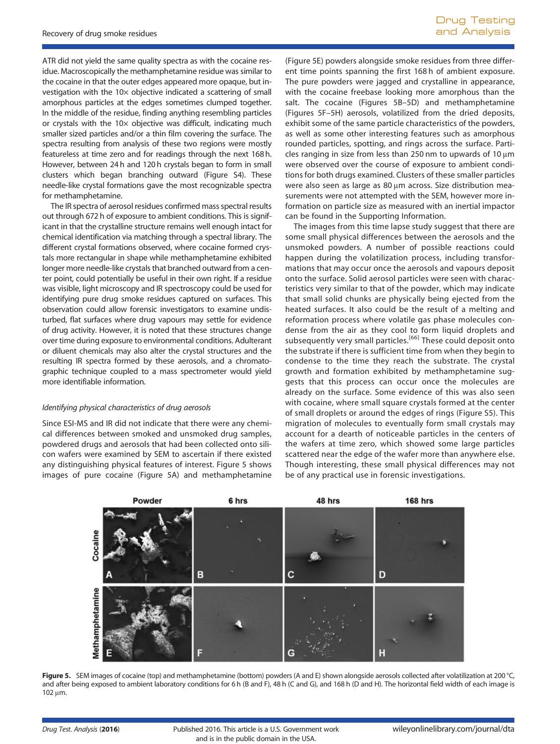ATR did not yield the same quality spectra as with the cocaine residue. Macroscopically the methamphetamine residue was similar to the cocaine in that the outer edges appeared more opaque, but investigation with the 10x objective indicated a scattering of small amorphous particles at the edges sometimes clumped together. In the middle of the residue, finding anything resembling particles or crystals with the  $10\times$  objective was difficult, indicating much smaller sized particles and/or a thin film covering the surface. The spectra resulting from analysis of these two regions were mostly featureless at time zero and for readings through the next 168 h. However, between 24 h and 120 h crystals began to form in small clusters which began branching outward (Figure S4). These needle-like crystal formations gave the most recognizable spectra for methamphetamine.

The IR spectra of aerosol residues confirmed mass spectral results out through 672 h of exposure to ambient conditions. This is significant in that the crystalline structure remains well enough intact for chemical identification via matching through a spectral library. The different crystal formations observed, where cocaine formed crystals more rectangular in shape while methamphetamine exhibited longer more needle-like crystals that branched outward from a center point, could potentially be useful in their own right. If a residue was visible, light microscopy and IR spectroscopy could be used for identifying pure drug smoke residues captured on surfaces. This observation could allow forensic investigators to examine undisturbed, flat surfaces where drug vapours may settle for evidence of drug activity. However, it is noted that these structures change over time during exposure to environmental conditions. Adulterant or diluent chemicals may also alter the crystal structures and the resulting IR spectra formed by these aerosols, and a chromatographic technique coupled to a mass spectrometer would yield more identifiable information.

#### Identifying physical characteristics of drug aerosols

Since ESI-MS and IR did not indicate that there were any chemical differences between smoked and unsmoked drug samples, powdered drugs and aerosols that had been collected onto silicon wafers were examined by SEM to ascertain if there existed any distinguishing physical features of interest. Figure 5 shows images of pure cocaine (Figure 5A) and methamphetamine (Figure 5E) powders alongside smoke residues from three different time points spanning the first 168 h of ambient exposure. The pure powders were jagged and crystalline in appearance, with the cocaine freebase looking more amorphous than the salt. The cocaine (Figures 5B–5D) and methamphetamine (Figures 5F–5H) aerosols, volatilized from the dried deposits, exhibit some of the same particle characteristics of the powders, as well as some other interesting features such as amorphous rounded particles, spotting, and rings across the surface. Particles ranging in size from less than 250 nm to upwards of 10 μm were observed over the course of exposure to ambient conditions for both drugs examined. Clusters of these smaller particles were also seen as large as 80 μm across. Size distribution measurements were not attempted with the SEM, however more information on particle size as measured with an inertial impactor can be found in the Supporting Information.

The images from this time lapse study suggest that there are some small physical differences between the aerosols and the unsmoked powders. A number of possible reactions could happen during the volatilization process, including transformations that may occur once the aerosols and vapours deposit onto the surface. Solid aerosol particles were seen with characteristics very similar to that of the powder, which may indicate that small solid chunks are physically being ejected from the heated surfaces. It also could be the result of a melting and reformation process where volatile gas phase molecules condense from the air as they cool to form liquid droplets and subsequently very small particles.<sup>[66]</sup> These could deposit onto the substrate if there is sufficient time from when they begin to condense to the time they reach the substrate. The crystal growth and formation exhibited by methamphetamine suggests that this process can occur once the molecules are already on the surface. Some evidence of this was also seen with cocaine, where small square crystals formed at the center of small droplets or around the edges of rings (Figure S5). This migration of molecules to eventually form small crystals may account for a dearth of noticeable particles in the centers of the wafers at time zero, which showed some large particles scattered near the edge of the wafer more than anywhere else. Though interesting, these small physical differences may not be of any practical use in forensic investigations.



Figure 5. SEM images of cocaine (top) and methamphetamine (bottom) powders (A and E) shown alongside aerosols collected after volatilization at 200 °C, and after being exposed to ambient laboratory conditions for 6 h (B and F), 48 h (C and G), and 168 h (D and H). The horizontal field width of each image is 102 μm.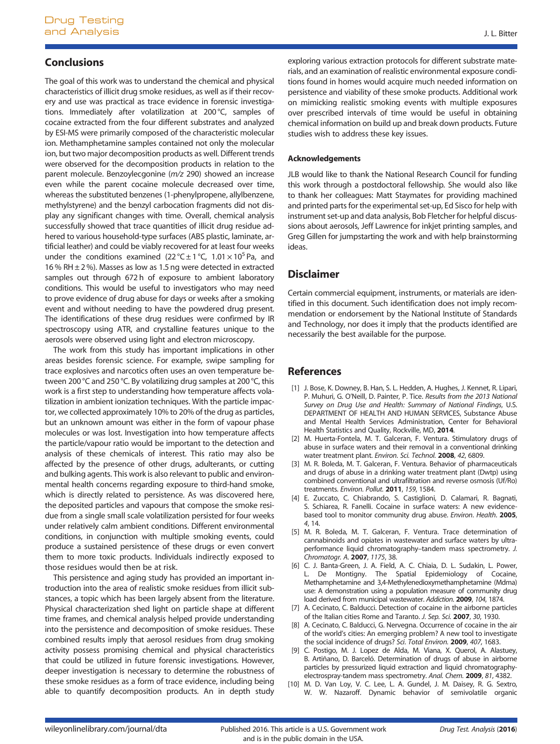## Conclusions

The goal of this work was to understand the chemical and physical characteristics of illicit drug smoke residues, as well as if their recovery and use was practical as trace evidence in forensic investigations. Immediately after volatilization at 200 °C, samples of cocaine extracted from the four different substrates and analyzed by ESI-MS were primarily composed of the characteristic molecular ion. Methamphetamine samples contained not only the molecular ion, but two major decomposition products as well. Different trends were observed for the decomposition products in relation to the parent molecule. Benzoylecgonine (m/z 290) showed an increase even while the parent cocaine molecule decreased over time, whereas the substituted benzenes (1-phenylpropene, allylbenzene, methylstyrene) and the benzyl carbocation fragments did not display any significant changes with time. Overall, chemical analysis successfully showed that trace quantities of illicit drug residue adhered to various household-type surfaces (ABS plastic, laminate, artificial leather) and could be viably recovered for at least four weeks under the conditions examined (22 °C  $\pm$  1 °C, 1.01  $\times$  10<sup>5</sup> Pa, and 16 % RH ± 2 %). Masses as low as 1.5 ng were detected in extracted samples out through 672 h of exposure to ambient laboratory conditions. This would be useful to investigators who may need to prove evidence of drug abuse for days or weeks after a smoking event and without needing to have the powdered drug present. The identifications of these drug residues were confirmed by IR spectroscopy using ATR, and crystalline features unique to the aerosols were observed using light and electron microscopy.

The work from this study has important implications in other areas besides forensic science. For example, swipe sampling for trace explosives and narcotics often uses an oven temperature between 200 °C and 250 °C. By volatilizing drug samples at 200 °C, this work is a first step to understanding how temperature affects volatilization in ambient ionization techniques. With the particle impactor, we collected approximately 10% to 20% of the drug as particles, but an unknown amount was either in the form of vapour phase molecules or was lost. Investigation into how temperature affects the particle/vapour ratio would be important to the detection and analysis of these chemicals of interest. This ratio may also be affected by the presence of other drugs, adulterants, or cutting and bulking agents. This work is also relevant to public and environmental health concerns regarding exposure to third-hand smoke, which is directly related to persistence. As was discovered here, the deposited particles and vapours that compose the smoke residue from a single small scale volatilization persisted for four weeks under relatively calm ambient conditions. Different environmental conditions, in conjunction with multiple smoking events, could produce a sustained persistence of these drugs or even convert them to more toxic products. Individuals indirectly exposed to those residues would then be at risk.

This persistence and aging study has provided an important introduction into the area of realistic smoke residues from illicit substances, a topic which has been largely absent from the literature. Physical characterization shed light on particle shape at different time frames, and chemical analysis helped provide understanding into the persistence and decomposition of smoke residues. These combined results imply that aerosol residues from drug smoking activity possess promising chemical and physical characteristics that could be utilized in future forensic investigations. However, deeper investigation is necessary to determine the robustness of these smoke residues as a form of trace evidence, including being able to quantify decomposition products. An in depth study

exploring various extraction protocols for different substrate materials, and an examination of realistic environmental exposure conditions found in homes would acquire much needed information on persistence and viability of these smoke products. Additional work on mimicking realistic smoking events with multiple exposures over prescribed intervals of time would be useful in obtaining chemical information on build up and break down products. Future studies wish to address these key issues.

#### Acknowledgements

JLB would like to thank the National Research Council for funding this work through a postdoctoral fellowship. She would also like to thank her colleagues: Matt Staymates for providing machined and printed parts for the experimental set-up, Ed Sisco for help with instrument set-up and data analysis, Bob Fletcher for helpful discussions about aerosols, Jeff Lawrence for inkjet printing samples, and Greg Gillen for jumpstarting the work and with help brainstorming ideas.

## Disclaimer

Certain commercial equipment, instruments, or materials are identified in this document. Such identification does not imply recommendation or endorsement by the National Institute of Standards and Technology, nor does it imply that the products identified are necessarily the best available for the purpose.

## References

- [1] J. Bose, K. Downey, B. Han, S. L. Hedden, A. Hughes, J. Kennet, R. Lipari, P. Muhuri, G. O'Neill, D. Painter, P. Tice. Results from the 2013 National Survey on Drug Use and Health: Summary of National Findings, U.S. DEPARTMENT OF HEALTH AND HUMAN SERVICES, Substance Abuse and Mental Health Services Administration, Center for Behavioral Health Statistics and Quality, Rockville, MD, 2014.
- [2] M. Huerta-Fontela, M. T. Galceran, F. Ventura. Stimulatory drugs of abuse in surface waters and their removal in a conventional drinking water treatment plant. Environ. Sci. Technol. 2008, 42, 6809.
- [3] M. R. Boleda, M. T. Galceran, F. Ventura. Behavior of pharmaceuticals and drugs of abuse in a drinking water treatment plant (Dwtp) using combined conventional and ultrafiltration and reverse osmosis (Uf/Ro) treatments. Environ. Pollut. 2011, 159, 1584.
- [4] E. Zuccato, C. Chiabrando, S. Castiglioni, D. Calamari, R. Bagnati, S. Schiarea, R. Fanelli. Cocaine in surface waters: A new evidencebased tool to monitor community drug abuse. Environ. Health. 2005, 4, 14.
- [5] M. R. Boleda, M. T. Galceran, F. Ventura. Trace determination of cannabinoids and opiates in wastewater and surface waters by ultraperformance liquid chromatography–tandem mass spectrometry. J. Chromatogr. A. 2007, 1175, 38.
- [6] C. J. Banta-Green, J. A. Field, A. C. Chiaia, D. L. Sudakin, L. Power, De Montigny. The Spatial Epidemiology of Cocaine, Methamphetamine and 3,4-Methylenedioxymethamphetamine (Mdma) use: A demonstration using a population measure of community drug load derived from municipal wastewater. Addiction. 2009, 104, 1874.
- [7] A. Cecinato, C. Balducci. Detection of cocaine in the airborne particles of the Italian cities Rome and Taranto. J. Sep. Sci. 2007, 30, 1930.
- [8] A. Cecinato, C. Balducci, G. Nervegna. Occurrence of cocaine in the air of the world's cities: An emerging problem? A new tool to investigate the social incidence of drugs? Sci. Total Environ. 2009, 407, 1683.
- [9] C. Postigo, M. J. Lopez de Alda, M. Viana, X. Querol, A. Alastuey, B. Artiñano, D. Barceló. Determination of drugs of abuse in airborne particles by pressurized liquid extraction and liquid chromatographyelectrospray-tandem mass spectrometry. Anal. Chem. 2009, 81, 4382.
- [10] M. D. Van Loy, V. C. Lee, L. A. Gundel, J. M. Daisey, R. G. Sextro, W. W. Nazaroff. Dynamic behavior of semivolatile organic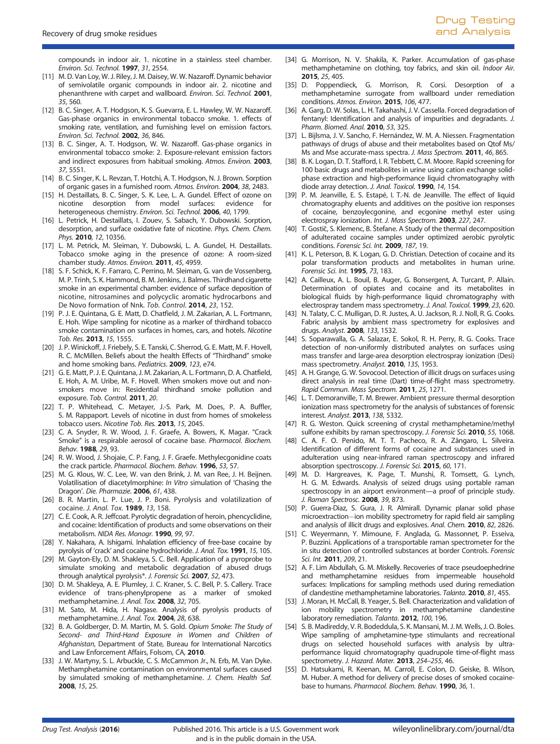compounds in indoor air. 1. nicotine in a stainless steel chamber. Environ. Sci. Technol. 1997, 31, 2554.

- [11] M. D. Van Loy, W. J. Riley, J. M. Daisey, W. W. Nazaroff. Dynamic behavior of semivolatile organic compounds in indoor air. 2. nicotine and phenanthrene with carpet and wallboard. Environ. Sci. Technol. 2001, 35, 560.
- [12] B. C. Singer, A. T. Hodgson, K. S. Guevarra, E. L. Hawley, W. W. Nazaroff. Gas-phase organics in environmental tobacco smoke. 1. effects of smoking rate, ventilation, and furnishing level on emission factors. Environ. Sci. Technol. 2002, 36, 846.
- [13] B. C. Singer, A. T. Hodgson, W. W. Nazaroff. Gas-phase organics in environmental tobacco smoke: 2. Exposure-relevant emission factors and indirect exposures from habitual smoking. Atmos. Environ. 2003, 37, 5551.
- [14] B. C. Singer, K. L. Revzan, T. Hotchi, A. T. Hodgson, N. J. Brown. Sorption of organic gases in a furnished room. Atmos. Environ. 2004, 38, 2483.
- [15] H. Destaillats, B. C. Singer, S. K. Lee, L. A. Gundel. Effect of ozone on nicotine desorption from model surfaces: evidence for heterogeneous chemistry. Environ. Sci. Technol. 2006, 40, 1799.
- [16] L. Petrick, H. Destaillats, I. Zouev, S. Sabach, Y. Dubowski. Sorption, desorption, and surface oxidative fate of nicotine. Phys. Chem. Chem. Phys. 2010, 12, 10356.
- [17] L. M. Petrick, M. Sleiman, Y. Dubowski, L. A. Gundel, H. Destaillats. Tobacco smoke aging in the presence of ozone: A room-sized chamber study. Atmos. Environ. 2011, 45, 4959.
- [18] S. F. Schick, K. F. Farraro, C. Perrino, M. Sleiman, G. van de Vossenberg, M. P. Trinh, S. K. Hammond, B. M. Jenkins, J. Balmes. Thirdhand cigarette smoke in an experimental chamber: evidence of surface deposition of nicotine, nitrosamines and polycyclic aromatic hydrocarbons and De Novo formation of Nnk. Tob. Control. 2014, 23, 152.
- [19] P. J. E. Quintana, G. E. Matt, D. Chatfield, J. M. Zakarian, A. L. Fortmann, E. Hoh. Wipe sampling for nicotine as a marker of thirdhand tobacco smoke contamination on surfaces in homes, cars, and hotels. Nicotine Tob. Res. 2013, 15, 1555.
- [20] J. P. Winickoff, J. Friebely, S. E. Tanski, C. Sherrod, G. E. Matt, M. F. Hovell, R. C. McMillen. Beliefs about the health Effects of "Thirdhand" smoke and home smoking bans. Pediatrics. 2009, 123, e74.
- [21] G. E. Matt, P. J. E. Quintana, J. M. Zakarian, A. L. Fortmann, D. A. Chatfield, E. Hoh, A. M. Uribe, M. F. Hovell. When smokers move out and nonsmokers move in: Residential thirdhand smoke pollution and exposure. Tob. Control. 2011, 20.
- [22] T. P. Whitehead, C. Metayer, J.-S. Park, M. Does, P. A. Buffler, S. M. Rappaport. Levels of nicotine in dust from homes of smokeless tobacco users. Nicotine Tob. Res. 2013, 15, 2045.
- [23] C. A. Snyder, R. W. Wood, J. F. Graefe, A. Bowers, K. Magar. "Crack Smoke" is a respirable aerosol of cocaine base. Pharmacol. Biochem. Behav. 1988, 29, 93.
- [24] R. W. Wood, J. Shojaie, C. P. Fang, J. F. Graefe. Methylecgonidine coats the crack particle. Pharmacol. Biochem. Behav. 1996, 53, 57.
- [25] M. G. Klous, W. C. Lee, W. van den Brink, J. M. van Ree, J. H. Beijnen. Volatilisation of diacetylmorphine: In Vitro simulation of 'Chasing the Dragon'. Die. Pharmazie. 2006, 61, 438.
- [26] B. R. Martin, L. P. Lue, J. P. Boni. Pyrolysis and volatilization of cocaine. J. Anal. Tox. 1989, 13, 158.
- [27] C. E. Cook, A. R. Jeffcoat. Pyrolytic degradation of heroin, phencyclidine, and cocaine: Identification of products and some observations on their metabolism. NIDA Res. Monogr. 1990, 99, 97.
- [28] Y. Nakahara, A. Ishigami. Inhalation efficiency of free-base cocaine by pyrolysis of 'crack' and cocaine hydrochloride. J. Anal. Tox. 1991, 15, 105.
- [29] M. Gayton-Ely, D. M. Shakleya, S. C. Bell. Application of a pyroprobe to simulate smoking and metabolic degradation of abused drugs through analytical pyrolysis\*. J. Forensic Sci. 2007, 52, 473.
- [30] D. M. Shakleya, A. E. Plumley, J. C. Kraner, S. C. Bell, P. S. Callery. Trace evidence of trans-phenylpropene as a marker of smoked methamphetamine. J. Anal. Tox. **2008**, 32, 705.
- [31] M. Sato, M. Hida, H. Nagase. Analysis of pyrolysis products of methamphetamine. J. Anal. Tox. 2004, 28, 638.
- [32] B. A. Goldberger, D. M. Martin, M. S. Gold. Opium Smoke: The Study of Second- and Third-Hand Exposure in Women and Children of Afghanistan, Department of State, Bureau for International Narcotics and Law Enforcement Affairs, Folsom, CA, 2010.
- [33] J. W. Martyny, S. L. Arbuckle, C. S. McCammon Jr., N. Erb, M. Van Dyke. Methamphetamine contamination on environmental surfaces caused by simulated smoking of methamphetamine. J. Chem. Health Saf. 2008, 15, 25.
- [34] G. Morrison, N. V. Shakila, K. Parker. Accumulation of gas-phase methamphetamine on clothing, toy fabrics, and skin oil. Indoor Air. 2015, 25, 405.
- [35] D. Poppendieck, G. Morrison, R. Corsi. Desorption of a methamphetamine surrogate from wallboard under remediation conditions. Atmos. Environ. 2015, 106, 477.
- [36] A. Garg, D. W. Solas, L. H. Takahashi, J. V. Cassella. Forced degradation of fentanyl: Identification and analysis of impurities and degradants. J. Pharm. Biomed. Anal. 2010, 53, 325.
- [37] L. Bijlsma, J. V. Sancho, F. Hernández, W. M. A. Niessen. Fragmentation pathways of drugs of abuse and their metabolites based on Qtof Ms/ Ms and Mse accurate-mass spectra. J. Mass Spectrom. 2011, 46, 865.
- [38] B. K. Logan, D. T. Stafford, I. R. Tebbett, C. M. Moore. Rapid screening for 100 basic drugs and metabolites in urine using cation exchange solidphase extraction and high-performance liquid chromatography with diode array detection. J. Anal. Toxicol. 1990, 14, 154.
- [39] P. M. Jeanville, E. S. Estapé, I. T.-N. de Jeanville. The effect of liquid chromatography eluents and additives on the positive ion responses of cocaine, benzoylecgonine, and ecgonine methyl ester using electrospray ionization. Int. J. Mass Spectrom. 2003, 227, 247.
- [40] T. Gostič, S. Klemenc, B. Štefane. A Study of the thermal decomposition of adulterated cocaine samples under optimized aerobic pyrolytic conditions. Forensic Sci. Int. 2009, 187, 19.
- [41] K. L. Peterson, B. K. Logan, G. D. Christian. Detection of cocaine and its polar transformation products and metabolites in human urine. Forensic Sci. Int. 1995, 73, 183.
- [42] A. Cailleux, A. L. Bouil, B. Auger, G. Bonsergent, A. Turcant, P. Allain. Determination of opiates and cocaine and its metabolites in biological fluids by high-performance liquid chromatography with electrospray tandem mass spectrometry. J. Anal. Toxicol. 1999, 23, 620.
- [43] N. Talaty, C. C. Mulligan, D. R. Justes, A. U. Jackson, R. J. Noll, R. G. Cooks. Fabric analysis by ambient mass spectrometry for explosives and drugs. Analyst. 2008, 133, 1532.
- [44] S. Soparawalla, G. A. Salazar, E. Sokol, R. H. Perry, R. G. Cooks. Trace detection of non-uniformly distributed analytes on surfaces using mass transfer and large-area desorption electrospray ionization (Desi) mass spectrometry. Analyst. 2010, 135, 1953.
- [45] A. H. Grange, G. W. Sovocool. Detection of illicit drugs on surfaces using direct analysis in real time (Dart) time-of-flight mass spectrometry. Rapid Commun. Mass Spectrom. 2011, 25, 1271.
- [46] L. T. Demoranville, T. M. Brewer. Ambient pressure thermal desorption ionization mass spectrometry for the analysis of substances of forensic interest. Analyst. 2013, 138, 5332.
- [47] R. G. Weston. Quick screening of crystal methamphetamine/methyl sulfone exhibits by raman spectroscopy. J. Forensic Sci. 2010, 55, 1068.
- [48] C. A. F. O. Penido, M. T. T. Pacheco, R. A. Zângaro, L. Silveira. Identification of different forms of cocaine and substances used in adulteration using near-infrared raman spectroscopy and infrared absorption spectroscopy. J. Forensic Sci. 2015, 60, 171.
- [49] M. D. Hargreaves, K. Page, T. Munshi, R. Tomsett, G. Lynch, H. G. M. Edwards. Analysis of seized drugs using portable raman spectroscopy in an airport environment—a proof of principle study. J. Raman Spectrosc. 2008, 39, 873.
- [50] P. Guerra-Diaz, S. Gura, J. R. Almirall. Dynamic planar solid phase microextraction-ion mobility spectrometry for rapid field air sampling and analysis of illicit drugs and explosives. Anal. Chem. 2010, 82, 2826.
- [51] C. Weyermann, Y. Mimoune, F. Anglada, G. Massonnet, P. Esseiva, P. Buzzini. Applications of a transportable raman spectrometer for the in situ detection of controlled substances at border Controls. Forensic Sci. Int. 2011, 209, 21.
- [52] A. F. Lim Abdullah, G. M. Miskelly. Recoveries of trace pseudoephedrine and methamphetamine residues from impermeable household surfaces: Implications for sampling methods used during remediation of clandestine methamphetamine laboratories. Talanta. 2010, 81, 455.
- [53] J. Moran, H. McCall, B. Yeager, S. Bell. Characterization and validation of ion mobility spectrometry in methamphetamine clandestine laboratory remediation. Talanta. 2012, 100, 196.
- [54] S. B. Madireddy, V. R. Bodeddula, S. K. Mansani, M. J. M. Wells, J. O. Boles. Wipe sampling of amphetamine-type stimulants and recreational drugs on selected household surfaces with analysis by ultraperformance liquid chromatography quadrupole time-of-flight mass spectrometry. J. Hazard. Mater. 2013, 254-255, 46.
- [55] D. Hatsukami, R. Keenan, M. Carroll, E. Colon, D. Geiske, B. Wilson, M. Huber. A method for delivery of precise doses of smoked cocainebase to humans. Pharmacol. Biochem. Behav. 1990, 36, 1.